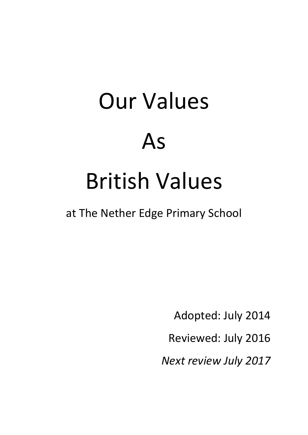# Our Values As British Values

at The Nether Edge Primary School

Adopted: July 2014

Reviewed: July 2016

*Next review July 2017*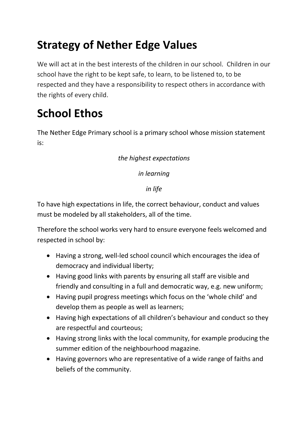## **Strategy of Nether Edge Values**

We will act at in the best interests of the children in our school. Children in our school have the right to be kept safe, to learn, to be listened to, to be respected and they have a responsibility to respect others in accordance with the rights of every child.

## **School Ethos**

The Nether Edge Primary school is a primary school whose mission statement is:

#### *the highest expectations*

*in learning*

*in life*

To have high expectations in life, the correct behaviour, conduct and values must be modeled by all stakeholders, all of the time.

Therefore the school works very hard to ensure everyone feels welcomed and respected in school by:

- Having a strong, well-led school council which encourages the idea of democracy and individual liberty;
- Having good links with parents by ensuring all staff are visible and friendly and consulting in a full and democratic way, e.g. new uniform;
- Having pupil progress meetings which focus on the 'whole child' and develop them as people as well as learners;
- Having high expectations of all children's behaviour and conduct so they are respectful and courteous;
- Having strong links with the local community, for example producing the summer edition of the neighbourhood magazine.
- Having governors who are representative of a wide range of faiths and beliefs of the community.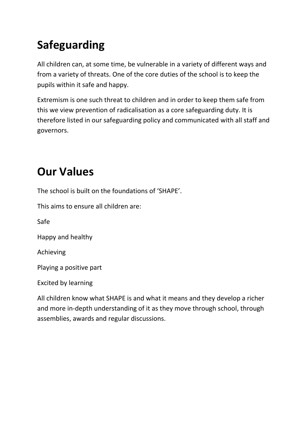# **Safeguarding**

All children can, at some time, be vulnerable in a variety of different ways and from a variety of threats. One of the core duties of the school is to keep the pupils within it safe and happy.

Extremism is one such threat to children and in order to keep them safe from this we view prevention of radicalisation as a core safeguarding duty. It is therefore listed in our safeguarding policy and communicated with all staff and governors.

## **Our Values**

The school is built on the foundations of 'SHAPE'.

This aims to ensure all children are:

Safe

Happy and healthy

Achieving

Playing a positive part

Excited by learning

All children know what SHAPE is and what it means and they develop a richer and more in-depth understanding of it as they move through school, through assemblies, awards and regular discussions.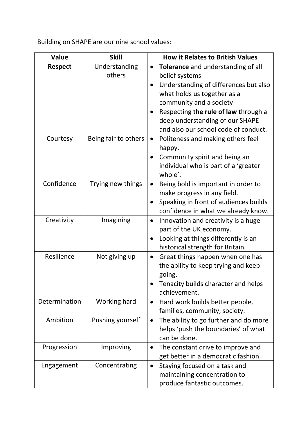Building on SHAPE are our nine school values:

| <b>Value</b>   | <b>Skill</b>         | <b>How it Relates to British Values</b>             |  |  |
|----------------|----------------------|-----------------------------------------------------|--|--|
| <b>Respect</b> | Understanding        | Tolerance and understanding of all<br>$\bullet$     |  |  |
|                | others               | belief systems                                      |  |  |
|                |                      | Understanding of differences but also               |  |  |
|                |                      | what holds us together as a                         |  |  |
|                |                      | community and a society                             |  |  |
|                |                      | Respecting the rule of law through a                |  |  |
|                |                      | deep understanding of our SHAPE                     |  |  |
|                |                      | and also our school code of conduct.                |  |  |
| Courtesy       | Being fair to others | Politeness and making others feel<br>happy.         |  |  |
|                |                      | Community spirit and being an                       |  |  |
|                |                      | individual who is part of a 'greater                |  |  |
|                |                      | whole'.                                             |  |  |
| Confidence     | Trying new things    | Being bold is important in order to                 |  |  |
|                |                      | make progress in any field.                         |  |  |
|                |                      | Speaking in front of audiences builds               |  |  |
|                |                      | confidence in what we already know.                 |  |  |
| Creativity     | Imagining            | Innovation and creativity is a huge<br>$\bullet$    |  |  |
|                |                      | part of the UK economy.                             |  |  |
|                |                      | Looking at things differently is an                 |  |  |
|                |                      | historical strength for Britain.                    |  |  |
| Resilience     | Not giving up        | Great things happen when one has<br>$\bullet$       |  |  |
|                |                      | the ability to keep trying and keep                 |  |  |
|                |                      | going.                                              |  |  |
|                |                      | Tenacity builds character and helps<br>achievement. |  |  |
| Determination  | Working hard         | Hard work builds better people,<br>$\bullet$        |  |  |
|                |                      | families, community, society.                       |  |  |
| Ambition       | Pushing yourself     | The ability to go further and do more<br>$\bullet$  |  |  |
|                |                      | helps 'push the boundaries' of what                 |  |  |
|                |                      | can be done.                                        |  |  |
| Progression    | Improving            | The constant drive to improve and<br>$\bullet$      |  |  |
|                |                      | get better in a democratic fashion.                 |  |  |
| Engagement     | Concentrating        | Staying focused on a task and<br>$\bullet$          |  |  |
|                |                      | maintaining concentration to                        |  |  |
|                |                      | produce fantastic outcomes.                         |  |  |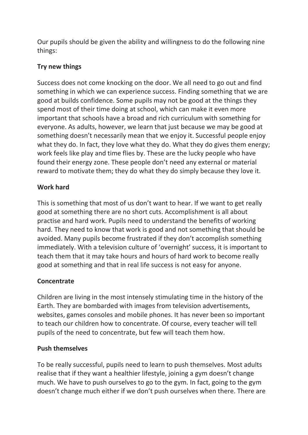Our pupils should be given the ability and willingness to do the following nine things:

#### **Try new things**

Success does not come knocking on the door. We all need to go out and find something in which we can experience success. Finding something that we are good at builds confidence. Some pupils may not be good at the things they spend most of their time doing at school, which can make it even more important that schools have a broad and rich curriculum with something for everyone. As adults, however, we learn that just because we may be good at something doesn't necessarily mean that we enjoy it. Successful people enjoy what they do. In fact, they love what they do. What they do gives them energy; work feels like play and time flies by. These are the lucky people who have found their energy zone. These people don't need any external or material reward to motivate them; they do what they do simply because they love it.

#### **Work hard**

This is something that most of us don't want to hear. If we want to get really good at something there are no short cuts. Accomplishment is all about practise and hard work. Pupils need to understand the benefits of working hard. They need to know that work is good and not something that should be avoided. Many pupils become frustrated if they don't accomplish something immediately. With a television culture of 'overnight' success, it is important to teach them that it may take hours and hours of hard work to become really good at something and that in real life success is not easy for anyone.

#### **Concentrate**

Children are living in the most intensely stimulating time in the history of the Earth. They are bombarded with images from television advertisements, websites, games consoles and mobile phones. It has never been so important to teach our children how to concentrate. Of course, every teacher will tell pupils of the need to concentrate, but few will teach them how.

#### **Push themselves**

To be really successful, pupils need to learn to push themselves. Most adults realise that if they want a healthier lifestyle, joining a gym doesn't change much. We have to push ourselves to go to the gym. In fact, going to the gym doesn't change much either if we don't push ourselves when there. There are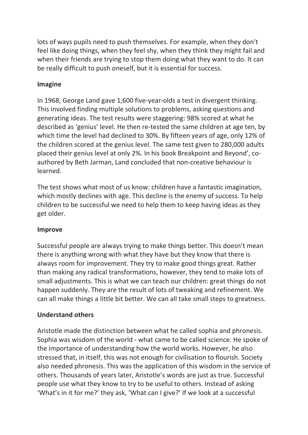lots of ways pupils need to push themselves. For example, when they don't feel like doing things, when they feel shy, when they think they might fail and when their friends are trying to stop them doing what they want to do. It can be really difficult to push oneself, but it is essential for success.

#### **Imagine**

In 1968, George Land gave 1,600 five-year-olds a test in divergent thinking. This involved finding multiple solutions to problems, asking questions and generating ideas. The test results were staggering: 98% scored at what he described as 'genius' level. He then re-tested the same children at age ten, by which time the level had declined to 30%. By fifteen years of age, only 12% of the children scored at the genius level. The same test given to 280,000 adults placed their genius level at only 2%. In his book Breakpoint and Beyond', coauthored by Beth Jarman, Land concluded that non-creative behaviour is learned.

The test shows what most of us know: children have a fantastic imagination, which mostly declines with age. This decline is the enemy of success. To help children to be successful we need to help them to keep having ideas as they get older.

#### **Improve**

Successful people are always trying to make things better. This doesn't mean there is anything wrong with what they have but they know that there is always room for improvement. They try to make good things great. Rather than making any radical transformations, however, they tend to make lots of small adjustments. This is what we can teach our children: great things do not happen suddenly. They are the result of lots of tweaking and refinement. We can all make things a little bit better. We can all take small steps to greatness.

#### **Understand others**

Aristotle made the distinction between what he called sophia and phronesis. Sophia was wisdom of the world - what came to be called science. He spoke of the importance of understanding how the world works. However, he also stressed that, in itself, this was not enough for civilisation to flourish. Society also needed phronesis. This was the application of this wisdom in the service of others. Thousands of years later, Aristotle's words are just as true. Successful people use what they know to try to be useful to others. Instead of asking 'What's in it for me?' they ask, 'What can I give?' If we look at a successful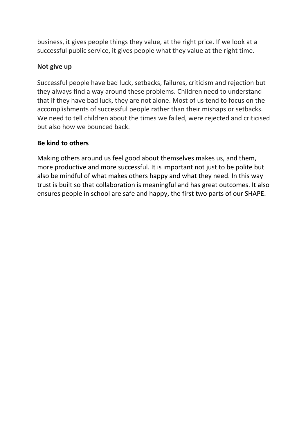business, it gives people things they value, at the right price. If we look at a successful public service, it gives people what they value at the right time.

#### **Not give up**

Successful people have bad luck, setbacks, failures, criticism and rejection but they always find a way around these problems. Children need to understand that if they have bad luck, they are not alone. Most of us tend to focus on the accomplishments of successful people rather than their mishaps or setbacks. We need to tell children about the times we failed, were rejected and criticised but also how we bounced back.

#### **Be kind to others**

Making others around us feel good about themselves makes us, and them, more productive and more successful. It is important not just to be polite but also be mindful of what makes others happy and what they need. In this way trust is built so that collaboration is meaningful and has great outcomes. It also ensures people in school are safe and happy, the first two parts of our SHAPE.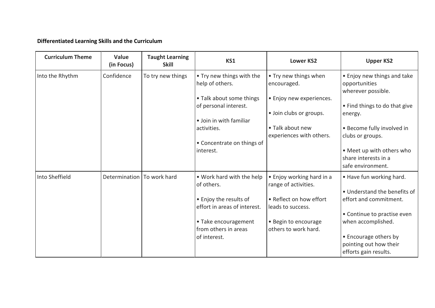#### **Differentiated Learning Skills and the Curriculum**

| <b>Curriculum Theme</b> | Value<br>(in Focus)        | <b>Taught Learning</b><br><b>Skill</b> | KS1                                                    | <b>Lower KS2</b>                                  | <b>Upper KS2</b>                                                   |
|-------------------------|----------------------------|----------------------------------------|--------------------------------------------------------|---------------------------------------------------|--------------------------------------------------------------------|
| Into the Rhythm         | Confidence                 | To try new things                      | • Try new things with the<br>help of others.           | • Try new things when<br>encouraged.              | • Enjoy new things and take<br>opportunities<br>wherever possible. |
|                         |                            |                                        | • Talk about some things<br>of personal interest.      | · Enjoy new experiences.                          | • Find things to do that give                                      |
|                         |                            |                                        | • Join in with familiar                                | · Join clubs or groups.                           | energy.                                                            |
|                         |                            |                                        | activities.                                            | • Talk about new<br>experiences with others.      | • Become fully involved in<br>clubs or groups.                     |
|                         |                            |                                        | • Concentrate on things of<br>interest.                |                                                   | • Meet up with others who                                          |
|                         |                            |                                        |                                                        |                                                   | share interests in a<br>safe environment.                          |
| Into Sheffield          | Determination To work hard |                                        | . Work hard with the help<br>of others.                | • Enjoy working hard in a<br>range of activities. | . Have fun working hard.                                           |
|                         |                            |                                        |                                                        |                                                   | . Understand the benefits of                                       |
|                         |                            |                                        | • Enjoy the results of<br>effort in areas of interest. | • Reflect on how effort<br>leads to success.      | effort and commitment.                                             |
|                         |                            |                                        |                                                        |                                                   | • Continue to practise even                                        |
|                         |                            |                                        | • Take encouragement<br>from others in areas           | · Begin to encourage<br>others to work hard.      | when accomplished.                                                 |
|                         |                            |                                        | of interest.                                           |                                                   | • Encourage others by                                              |
|                         |                            |                                        |                                                        |                                                   | pointing out how their<br>efforts gain results.                    |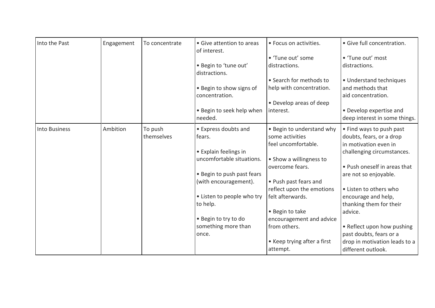| Into the Past        | Engagement | To concentrate | • Give attention to areas<br>of interest. | · Focus on activities.                  | · Give full concentration.                               |
|----------------------|------------|----------------|-------------------------------------------|-----------------------------------------|----------------------------------------------------------|
|                      |            |                |                                           | • 'Tune out' some                       | • 'Tune out' most                                        |
|                      |            |                | · Begin to 'tune out'<br>distractions.    | distractions.                           | distractions.                                            |
|                      |            |                |                                           | • Search for methods to                 | · Understand techniques                                  |
|                      |            |                | • Begin to show signs of                  | help with concentration.                | and methods that                                         |
|                      |            |                | concentration.                            | • Develop areas of deep                 | aid concentration.                                       |
|                      |            |                | . Begin to seek help when<br>needed.      | interest.                               | • Develop expertise and<br>deep interest in some things. |
| <b>Into Business</b> | Ambition   | To push        | • Express doubts and                      | . Begin to understand why               | • Find ways to push past                                 |
|                      |            | themselves     | fears.                                    | some activities<br>feel uncomfortable.  | doubts, fears, or a drop<br>in motivation even in        |
|                      |            |                | • Explain feelings in                     |                                         | challenging circumstances.                               |
|                      |            |                | uncomfortable situations.                 | • Show a willingness to                 |                                                          |
|                      |            |                |                                           | overcome fears.                         | • Push oneself in areas that                             |
|                      |            |                | • Begin to push past fears                |                                         | are not so enjoyable.                                    |
|                      |            |                | (with encouragement).                     | • Push past fears and                   |                                                          |
|                      |            |                |                                           | reflect upon the emotions               | • Listen to others who                                   |
|                      |            |                | • Listen to people who try                | felt afterwards.                        | encourage and help,                                      |
|                      |            |                | to help.                                  |                                         | thanking them for their                                  |
|                      |            |                |                                           | • Begin to take                         | advice.                                                  |
|                      |            |                | . Begin to try to do                      | encouragement and advice                |                                                          |
|                      |            |                | something more than                       | from others.                            | • Reflect upon how pushing                               |
|                      |            |                | once.                                     |                                         | past doubts, fears or a                                  |
|                      |            |                |                                           | • Keep trying after a first<br>attempt. | drop in motivation leads to a<br>different outlook.      |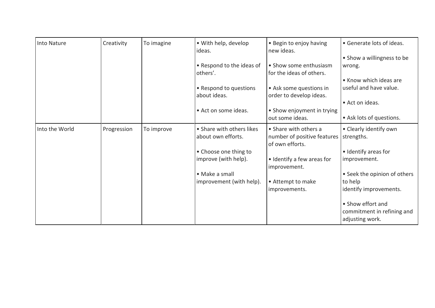| Into Nature    | Creativity  | To imagine | • With help, develop<br>ideas.                  | • Begin to enjoy having<br>new ideas.                                   | • Generate lots of ideas.                                          |
|----------------|-------------|------------|-------------------------------------------------|-------------------------------------------------------------------------|--------------------------------------------------------------------|
|                |             |            |                                                 |                                                                         | • Show a willingness to be                                         |
|                |             |            | • Respond to the ideas of                       | • Show some enthusiasm                                                  | wrong.                                                             |
|                |             |            | others'.                                        | for the ideas of others.                                                | • Know which ideas are                                             |
|                |             |            | • Respond to questions<br>about ideas.          | • Ask some questions in<br>order to develop ideas.                      | useful and have value.                                             |
|                |             |            |                                                 |                                                                         | • Act on ideas.                                                    |
|                |             |            | • Act on some ideas.                            | • Show enjoyment in trying                                              |                                                                    |
|                |             |            |                                                 | out some ideas.                                                         | • Ask lots of questions.                                           |
| Into the World | Progression | To improve | • Share with others likes<br>about own efforts. | • Share with others a<br>number of positive features<br>of own efforts. | • Clearly identify own<br>strengths.                               |
|                |             |            | • Choose one thing to                           |                                                                         | • Identify areas for                                               |
|                |             |            | improve (with help).                            | • Identify a few areas for<br>improvement.                              | improvement.                                                       |
|                |             |            | • Make a small                                  |                                                                         | • Seek the opinion of others                                       |
|                |             |            | improvement (with help).                        | • Attempt to make                                                       | to help                                                            |
|                |             |            |                                                 | improvements.                                                           | identify improvements.                                             |
|                |             |            |                                                 |                                                                         | • Show effort and<br>commitment in refining and<br>adjusting work. |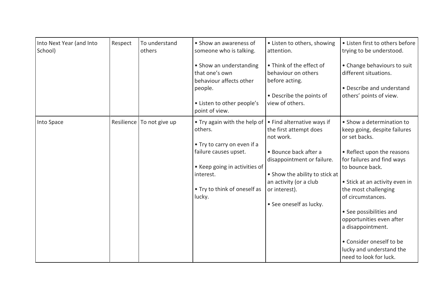| Into Next Year (and Into<br>School) | Respect    | To understand<br>others | • Show an awareness of<br>someone who is talking.                                                  | • Listen to others, showing<br>attention.                                             | • Listen first to others before<br>trying to be understood.                       |
|-------------------------------------|------------|-------------------------|----------------------------------------------------------------------------------------------------|---------------------------------------------------------------------------------------|-----------------------------------------------------------------------------------|
|                                     |            |                         | • Show an understanding<br>that one's own<br>behaviour affects other<br>people.                    | • Think of the effect of<br>behaviour on others<br>before acting.                     | • Change behaviours to suit<br>different situations.<br>• Describe and understand |
|                                     |            |                         | • Listen to other people's<br>point of view.                                                       | • Describe the points of<br>view of others.                                           | others' points of view.                                                           |
| Into Space                          | Resilience | To not give up          | . Try again with the help of<br>others.                                                            | . Find alternative ways if<br>the first attempt does<br>not work.                     | • Show a determination to<br>keep going, despite failures<br>or set backs.        |
|                                     |            |                         | • Try to carry on even if a<br>failure causes upset.<br>• Keep going in activities of<br>interest. | · Bounce back after a<br>disappointment or failure.<br>• Show the ability to stick at | • Reflect upon the reasons<br>for failures and find ways<br>to bounce back.       |
|                                     |            |                         | • Try to think of oneself as<br>lucky.                                                             | an activity (or a club<br>or interest).<br>• See oneself as lucky.                    | • Stick at an activity even in<br>the most challenging<br>of circumstances.       |
|                                     |            |                         |                                                                                                    |                                                                                       | • See possibilities and<br>opportunities even after<br>a disappointment.          |
|                                     |            |                         |                                                                                                    |                                                                                       | • Consider oneself to be<br>lucky and understand the<br>need to look for luck.    |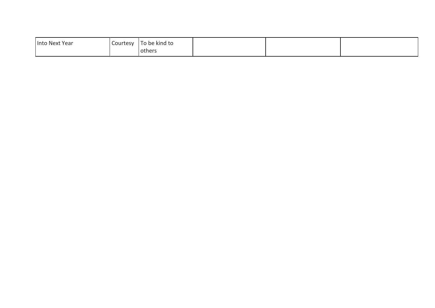| Into Next Year | Courtesy | To be kind to   |  |  |
|----------------|----------|-----------------|--|--|
|                |          | <b>l</b> others |  |  |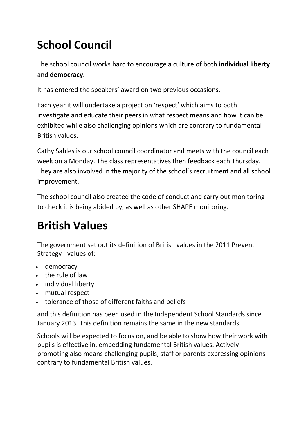# **School Council**

The school council works hard to encourage a culture of both **individual liberty**  and **democracy**.

It has entered the speakers' award on two previous occasions.

Each year it will undertake a project on 'respect' which aims to both investigate and educate their peers in what respect means and how it can be exhibited while also challenging opinions which are contrary to fundamental British values.

Cathy Sables is our school council coordinator and meets with the council each week on a Monday. The class representatives then feedback each Thursday. They are also involved in the majority of the school's recruitment and all school improvement.

The school council also created the code of conduct and carry out monitoring to check it is being abided by, as well as other SHAPE monitoring.

## **British Values**

The government set out its definition of British values in the 2011 Prevent Strategy - values of:

- democracy
- the rule of law
- individual liberty
- mutual respect
- tolerance of those of different faiths and beliefs

and this definition has been used in the Independent School Standards since January 2013. This definition remains the same in the new standards.

Schools will be expected to focus on, and be able to show how their work with pupils is effective in, embedding fundamental British values. Actively promoting also means challenging pupils, staff or parents expressing opinions contrary to fundamental British values.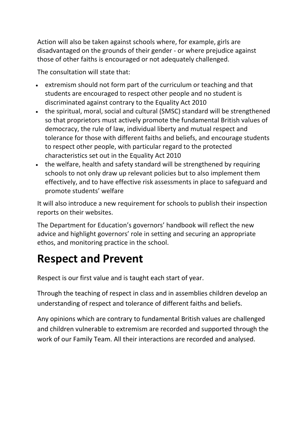Action will also be taken against schools where, for example, girls are disadvantaged on the grounds of their gender - or where prejudice against those of other faiths is encouraged or not adequately challenged.

The consultation will state that:

- extremism should not form part of the curriculum or teaching and that students are encouraged to respect other people and no student is discriminated against contrary to the Equality Act 2010
- the spiritual, moral, social and cultural (SMSC) standard will be strengthened so that proprietors must actively promote the fundamental British values of democracy, the rule of law, individual liberty and mutual respect and tolerance for those with different faiths and beliefs, and encourage students to respect other people, with particular regard to the protected characteristics set out in the Equality Act 2010
- the welfare, health and safety standard will be strengthened by requiring schools to not only draw up relevant policies but to also implement them effectively, and to have effective risk assessments in place to safeguard and promote students' welfare

It will also introduce a new requirement for schools to publish their inspection reports on their websites.

The Department for Education's governors' handbook will reflect the new advice and highlight governors' role in setting and securing an appropriate ethos, and monitoring practice in the school.

## **Respect and Prevent**

Respect is our first value and is taught each start of year.

Through the teaching of respect in class and in assemblies children develop an understanding of respect and tolerance of different faiths and beliefs.

Any opinions which are contrary to fundamental British values are challenged and children vulnerable to extremism are recorded and supported through the work of our Family Team. All their interactions are recorded and analysed.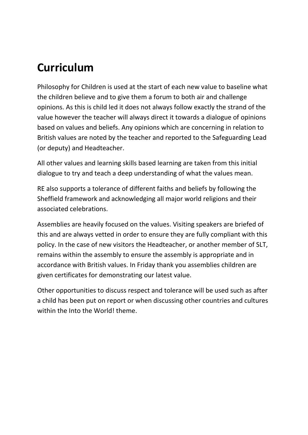### **Curriculum**

Philosophy for Children is used at the start of each new value to baseline what the children believe and to give them a forum to both air and challenge opinions. As this is child led it does not always follow exactly the strand of the value however the teacher will always direct it towards a dialogue of opinions based on values and beliefs. Any opinions which are concerning in relation to British values are noted by the teacher and reported to the Safeguarding Lead (or deputy) and Headteacher.

All other values and learning skills based learning are taken from this initial dialogue to try and teach a deep understanding of what the values mean.

RE also supports a tolerance of different faiths and beliefs by following the Sheffield framework and acknowledging all major world religions and their associated celebrations.

Assemblies are heavily focused on the values. Visiting speakers are briefed of this and are always vetted in order to ensure they are fully compliant with this policy. In the case of new visitors the Headteacher, or another member of SLT, remains within the assembly to ensure the assembly is appropriate and in accordance with British values. In Friday thank you assemblies children are given certificates for demonstrating our latest value.

Other opportunities to discuss respect and tolerance will be used such as after a child has been put on report or when discussing other countries and cultures within the Into the World! theme.